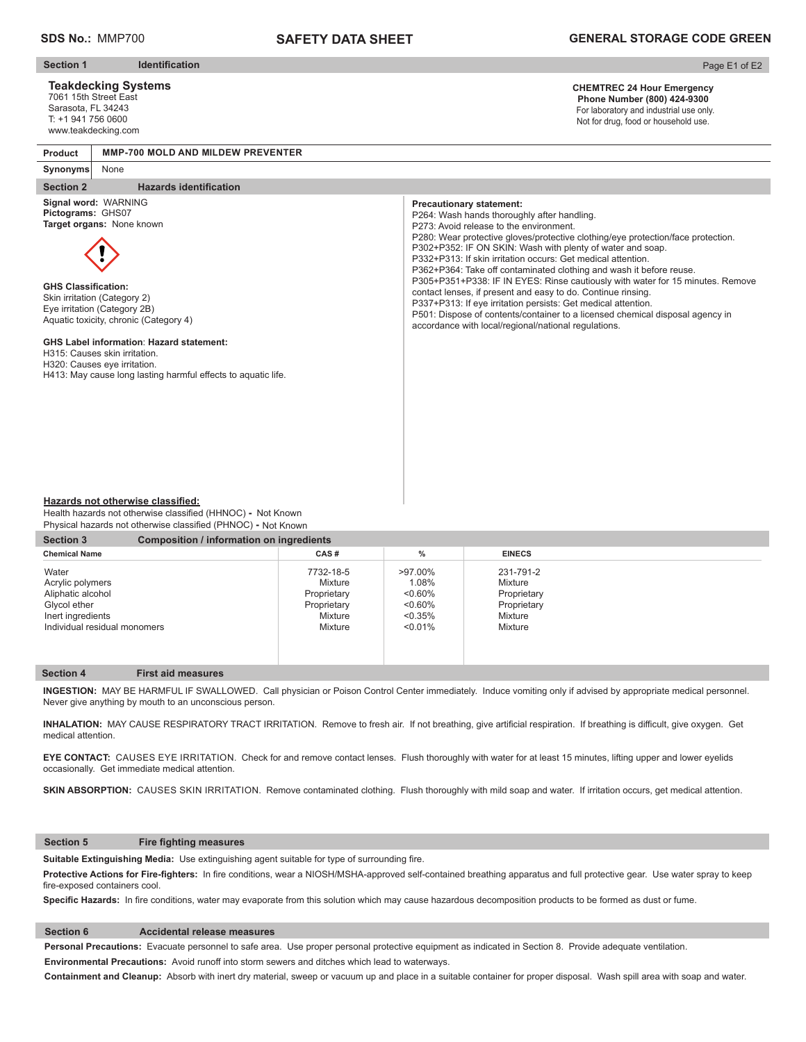# **SAFETY DATA SHEET**

## **GENERAL STORAGE CODE GREEN**

**Section 1 Identification** 

### **Teakdecking Systems**

7061 15th Street East Sarasota, FL 34243 T: +1 941 756 0600 www.teakdecking.com

### Page E1 of E2

#### **CHEMTREC 24 Hour Emergency Phone Number (800) 424-9300**  For laboratory and industrial use only. Not for drug, food or household use.

**Product MMP-700 MOLD AND MILDEW PREVENTER**

#### **Synonyms** None

#### **Section 2** Hazards identification

**Signal word:** WARNING **Pictograms:** GHS07 **Target organs:** None known



**GHS Classification:** Skin irritation (Category 2) Eye irritation (Category 2B) Aquatic toxicity, chronic (Category 4)

#### **GHS Label information**: **Hazard statement:**

H315: Causes skin irritation.

H320: Causes eye irritation.

H413: May cause long lasting harmful effects to aquatic life.

#### **Precautionary statement:**

P264: Wash hands thoroughly after handling. P273: Avoid release to the environment. P280: Wear protective gloves/protective clothing/eye protection/face protection. P302+P352: IF ON SKIN: Wash with plenty of water and soap. P332+P313: If skin irritation occurs: Get medical attention. P362+P364: Take off contaminated clothing and wash it before reuse. P305+P351+P338: IF IN EYES: Rinse cautiously with water for 15 minutes. Remove contact lenses, if present and easy to do. Continue rinsing. P337+P313: If eye irritation persists: Get medical attention. P501: Dispose of contents/container to a licensed chemical disposal agency in accordance with local/regional/national regulations.

#### **Hazards not otherwise classified:**

Health hazards not otherwise classified (HHNOC) - Not Known Physical hazards not otherwise classified (PHNOC) **-** Not Known

| Composition / information on ingredients |            |               |                        |  |  |
|------------------------------------------|------------|---------------|------------------------|--|--|
| CAS#                                     | %          | <b>EINECS</b> |                        |  |  |
| 7732-18-5                                | >97.00%    | 231-791-2     |                        |  |  |
|                                          |            |               |                        |  |  |
| Proprietary                              | $0.60\%$   |               |                        |  |  |
| Proprietary                              | $0.60\%$   | Proprietary   |                        |  |  |
| Mixture                                  | $< 0.35\%$ | Mixture       |                        |  |  |
| Mixture                                  | $< 0.01\%$ | Mixture       |                        |  |  |
|                                          |            |               |                        |  |  |
|                                          | Mixture    | 1.08%         | Mixture<br>Proprietary |  |  |

#### **Section 4 First aid measures**

**INGESTION:** MAY BE HARMFUL IF SWALLOWED. Call physician or Poison Control Center immediately. Induce vomiting only if advised by appropriate medical personnel. Never give anything by mouth to an unconscious person.

INHALATION: MAY CAUSE RESPIRATORY TRACT IRRITATION. Remove to fresh air. If not breathing, give artificial respiration. If breathing is difficult, give oxygen. Get medical attention.

**EYE CONTACT:** CAUSES EYE IRRITATION. Check for and remove contact lenses. Flush thoroughly with water for at least 15 minutes, lifting upper and lower eyelids occasionally. Get immediate medical attention.

SKIN ABSORPTION: CAUSES SKIN IRRITATION. Remove contaminated clothing. Flush thoroughly with mild soap and water. If irritation occurs, get medical attention.

#### **Section 5** Fire fighting measures

Suitable Extinguishing Media: Use extinguishing agent suitable for type of surrounding fire.

Protective Actions for Fire-fighters: In fire conditions, wear a NIOSH/MSHA-approved self-contained breathing apparatus and full protective gear. Use water spray to keep fire-exposed containers cool.

Specific Hazards: In fire conditions, water may evaporate from this solution which may cause hazardous decomposition products to be formed as dust or fume.

#### **Section 6 Accidental release measures**

**Personal Precautions:** Evacuate personnel to safe area. Use proper personal protective equipment as indicated in Section 8. Provide adequate ventilation. **Environmental Precautions:** Avoid runoff into storm sewers and ditches which lead to waterways.

**Containment and Cleanup:** Absorb with inert dry material, sweep or vacuum up and place in a suitable container for proper disposal. Wash spill area with soap and water.